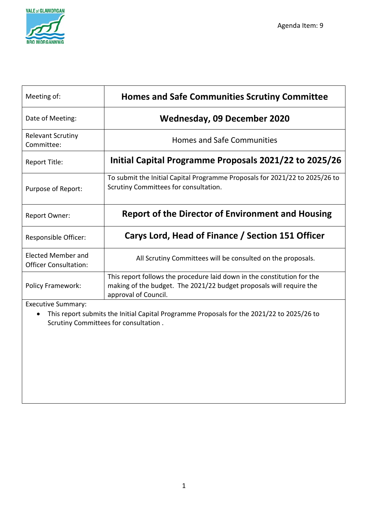

| Meeting of:                                               | <b>Homes and Safe Communities Scrutiny Committee</b>                                                                                                                   |
|-----------------------------------------------------------|------------------------------------------------------------------------------------------------------------------------------------------------------------------------|
| Date of Meeting:                                          | Wednesday, 09 December 2020                                                                                                                                            |
| <b>Relevant Scrutiny</b><br>Committee:                    | <b>Homes and Safe Communities</b>                                                                                                                                      |
| Report Title:                                             | Initial Capital Programme Proposals 2021/22 to 2025/26                                                                                                                 |
| Purpose of Report:                                        | To submit the Initial Capital Programme Proposals for 2021/22 to 2025/26 to<br>Scrutiny Committees for consultation.                                                   |
| Report Owner:                                             | <b>Report of the Director of Environment and Housing</b>                                                                                                               |
| Responsible Officer:                                      | Carys Lord, Head of Finance / Section 151 Officer                                                                                                                      |
| <b>Elected Member and</b><br><b>Officer Consultation:</b> | All Scrutiny Committees will be consulted on the proposals.                                                                                                            |
| <b>Policy Framework:</b>                                  | This report follows the procedure laid down in the constitution for the<br>making of the budget. The 2021/22 budget proposals will require the<br>approval of Council. |
| <b>Executive Summary:</b>                                 |                                                                                                                                                                        |

• This report submits the Initial Capital Programme Proposals for the 2021/22 to 2025/26 to Scrutiny Committees for consultation .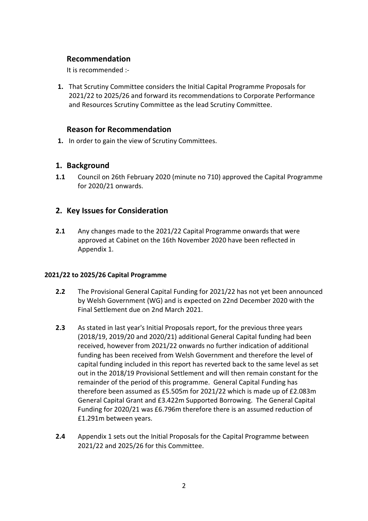# **Recommendation**

It is recommended :-

**1.** That Scrutiny Committee considers the Initial Capital Programme Proposals for 2021/22 to 2025/26 and forward its recommendations to Corporate Performance and Resources Scrutiny Committee as the lead Scrutiny Committee.

# **Reason for Recommendation**

**1.** In order to gain the view of Scrutiny Committees.

# **1. Background**

**1.1** Council on 26th February 2020 (minute no 710) approved the Capital Programme for 2020/21 onwards.

# **2. Key Issues for Consideration**

**2.1** Any changes made to the 2021/22 Capital Programme onwards that were approved at Cabinet on the 16th November 2020 have been reflected in Appendix 1.

# **2021/22 to 2025/26 Capital Programme**

- **2.2** The Provisional General Capital Funding for 2021/22 has not yet been announced by Welsh Government (WG) and is expected on 22nd December 2020 with the Final Settlement due on 2nd March 2021.
- **2.3** As stated in last year's Initial Proposals report, for the previous three years (2018/19, 2019/20 and 2020/21) additional General Capital funding had been received, however from 2021/22 onwards no further indication of additional funding has been received from Welsh Government and therefore the level of capital funding included in this report has reverted back to the same level as set out in the 2018/19 Provisional Settlement and will then remain constant for the remainder of the period of this programme. General Capital Funding has therefore been assumed as £5.505m for 2021/22 which is made up of £2.083m General Capital Grant and £3.422m Supported Borrowing. The General Capital Funding for 2020/21 was £6.796m therefore there is an assumed reduction of £1.291m between years.
- **2.4** Appendix 1 sets out the Initial Proposals for the Capital Programme between 2021/22 and 2025/26 for this Committee.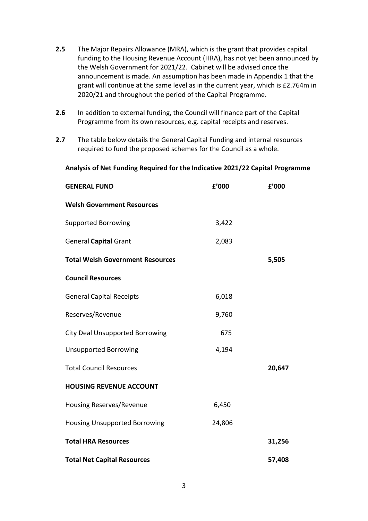- **2.5** The Major Repairs Allowance (MRA), which is the grant that provides capital funding to the Housing Revenue Account (HRA), has not yet been announced by the Welsh Government for 2021/22. Cabinet will be advised once the announcement is made. An assumption has been made in Appendix 1 that the grant will continue at the same level as in the current year, which is £2.764m in 2020/21 and throughout the period of the Capital Programme.
- **2.6** In addition to external funding, the Council will finance part of the Capital Programme from its own resources, e.g. capital receipts and reserves.
- **2.7** The table below details the General Capital Funding and internal resources required to fund the proposed schemes for the Council as a whole.

#### **Analysis of Net Funding Required for the Indicative 2021/22 Capital Programme**

| <b>GENERAL FUND</b>                     | £'000  | f'000  |
|-----------------------------------------|--------|--------|
| <b>Welsh Government Resources</b>       |        |        |
| <b>Supported Borrowing</b>              | 3,422  |        |
| <b>General Capital Grant</b>            | 2,083  |        |
| <b>Total Welsh Government Resources</b> |        | 5,505  |
| <b>Council Resources</b>                |        |        |
| <b>General Capital Receipts</b>         | 6,018  |        |
| Reserves/Revenue                        | 9,760  |        |
| <b>City Deal Unsupported Borrowing</b>  | 675    |        |
| <b>Unsupported Borrowing</b>            | 4,194  |        |
| <b>Total Council Resources</b>          |        | 20,647 |
| <b>HOUSING REVENUE ACCOUNT</b>          |        |        |
| Housing Reserves/Revenue                | 6,450  |        |
| <b>Housing Unsupported Borrowing</b>    | 24,806 |        |
| <b>Total HRA Resources</b>              |        | 31,256 |
| <b>Total Net Capital Resources</b>      |        | 57,408 |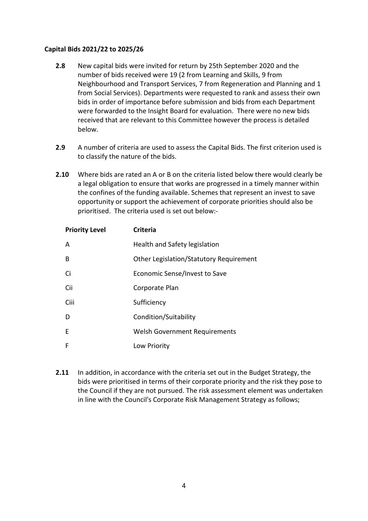### **Capital Bids 2021/22 to 2025/26**

- **2.8** New capital bids were invited for return by 25th September 2020 and the number of bids received were 19 (2 from Learning and Skills, 9 from Neighbourhood and Transport Services, 7 from Regeneration and Planning and 1 from Social Services). Departments were requested to rank and assess their own bids in order of importance before submission and bids from each Department were forwarded to the Insight Board for evaluation. There were no new bids received that are relevant to this Committee however the process is detailed below.
- **2.9** A number of criteria are used to assess the Capital Bids. The first criterion used is to classify the nature of the bids.
- **2.10** Where bids are rated an A or B on the criteria listed below there would clearly be a legal obligation to ensure that works are progressed in a timely manner within the confines of the funding available. Schemes that represent an invest to save opportunity or support the achievement of corporate priorities should also be prioritised. The criteria used is set out below:-

| <b>Priority Level</b> | <b>Criteria</b>                         |
|-----------------------|-----------------------------------------|
| A                     | Health and Safety legislation           |
| B                     | Other Legislation/Statutory Requirement |
| Ci                    | Economic Sense/Invest to Save           |
| Cii                   | Corporate Plan                          |
| Ciii                  | Sufficiency                             |
| D                     | Condition/Suitability                   |
| E                     | <b>Welsh Government Requirements</b>    |
| F                     | Low Priority                            |

**2.11** In addition, in accordance with the criteria set out in the Budget Strategy, the bids were prioritised in terms of their corporate priority and the risk they pose to the Council if they are not pursued. The risk assessment element was undertaken in line with the Council's Corporate Risk Management Strategy as follows;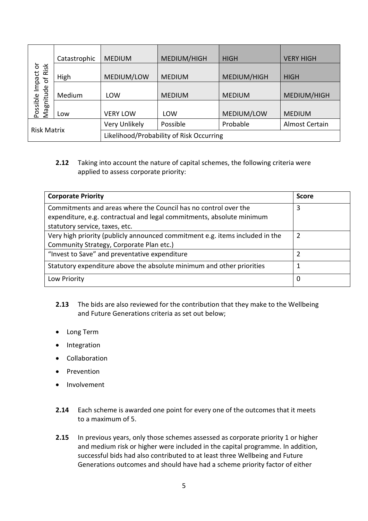|                                                                | Catastrophic | <b>MEDIUM</b>   | MEDIUM/HIGH   | <b>HIGH</b>   | <b>VERY HIGH</b> |
|----------------------------------------------------------------|--------------|-----------------|---------------|---------------|------------------|
| ŏ<br>Risk<br>Impact<br>$\sigma$                                | High         | MEDIUM/LOW      | <b>MEDIUM</b> | MEDIUM/HIGH   | <b>HIGH</b>      |
|                                                                | Medium       | LOW             | <b>MEDIUM</b> | <b>MEDIUM</b> | MEDIUM/HIGH      |
| Magnitude<br>Possible                                          | Low          | <b>VERY LOW</b> | LOW           | MEDIUM/LOW    | <b>MEDIUM</b>    |
|                                                                |              | Very Unlikely   | Possible      | Probable      | Almost Certain   |
| <b>Risk Matrix</b><br>Likelihood/Probability of Risk Occurring |              |                 |               |               |                  |

**2.12** Taking into account the nature of capital schemes, the following criteria were applied to assess corporate priority:

| <b>Corporate Priority</b>                                                                                                                                                  | <b>Score</b> |
|----------------------------------------------------------------------------------------------------------------------------------------------------------------------------|--------------|
| Commitments and areas where the Council has no control over the<br>expenditure, e.g. contractual and legal commitments, absolute minimum<br>statutory service, taxes, etc. | 3            |
| Very high priority (publicly announced commitment e.g. items included in the<br>Community Strategy, Corporate Plan etc.)                                                   | 2            |
| "Invest to Save" and preventative expenditure                                                                                                                              | 2            |
| Statutory expenditure above the absolute minimum and other priorities                                                                                                      | 1            |
| Low Priority                                                                                                                                                               | 0            |

- **2.13** The bids are also reviewed for the contribution that they make to the Wellbeing and Future Generations criteria as set out below;
- Long Term
- Integration
- Collaboration
- Prevention
- Involvement
- **2.14** Each scheme is awarded one point for every one of the outcomes that it meets to a maximum of 5.
- **2.15** In previous years, only those schemes assessed as corporate priority 1 or higher and medium risk or higher were included in the capital programme. In addition, successful bids had also contributed to at least three Wellbeing and Future Generations outcomes and should have had a scheme priority factor of either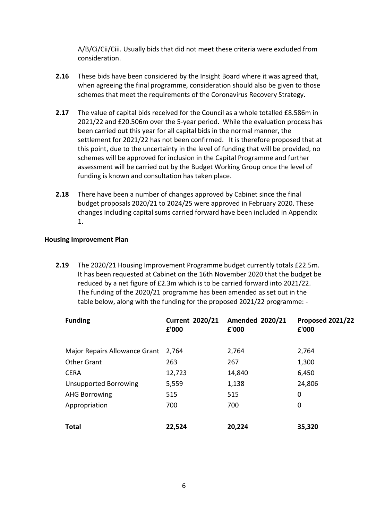A/B/Ci/Cii/Ciii. Usually bids that did not meet these criteria were excluded from consideration.

- **2.16** These bids have been considered by the Insight Board where it was agreed that, when agreeing the final programme, consideration should also be given to those schemes that meet the requirements of the Coronavirus Recovery Strategy.
- **2.17** The value of capital bids received for the Council as a whole totalled £8.586m in 2021/22 and £20.506m over the 5-year period. While the evaluation process has been carried out this year for all capital bids in the normal manner, the settlement for 2021/22 has not been confirmed. It is therefore proposed that at this point, due to the uncertainty in the level of funding that will be provided, no schemes will be approved for inclusion in the Capital Programme and further assessment will be carried out by the Budget Working Group once the level of funding is known and consultation has taken place.
- **2.18** There have been a number of changes approved by Cabinet since the final budget proposals 2020/21 to 2024/25 were approved in February 2020. These changes including capital sums carried forward have been included in Appendix 1.

#### **Housing Improvement Plan**

**2.19** The 2020/21 Housing Improvement Programme budget currently totals £22.5m. It has been requested at Cabinet on the 16th November 2020 that the budget be reduced by a net figure of £2.3m which is to be carried forward into 2021/22. The funding of the 2020/21 programme has been amended as set out in the table below, along with the funding for the proposed 2021/22 programme: -

| <b>Funding</b>                | <b>Current 2020/21</b><br>£'000 | <b>Amended 2020/21</b><br>£'000 | Proposed 2021/22<br>£'000 |
|-------------------------------|---------------------------------|---------------------------------|---------------------------|
| Major Repairs Allowance Grant | 2,764                           | 2,764                           | 2,764                     |
| <b>Other Grant</b>            | 263                             | 267                             | 1,300                     |
| <b>CERA</b>                   | 12,723                          | 14,840                          | 6,450                     |
| <b>Unsupported Borrowing</b>  | 5,559                           | 1,138                           | 24,806                    |
| <b>AHG Borrowing</b>          | 515                             | 515                             | 0                         |
| Appropriation                 | 700                             | 700                             | 0                         |
|                               |                                 |                                 |                           |
| <b>Total</b>                  | 22,524                          | 20,224                          | 35,320                    |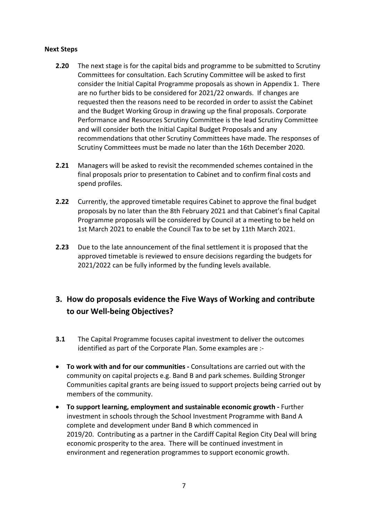### **Next Steps**

- **2.20** The next stage is for the capital bids and programme to be submitted to Scrutiny Committees for consultation. Each Scrutiny Committee will be asked to first consider the Initial Capital Programme proposals as shown in Appendix 1. There are no further bids to be considered for 2021/22 onwards. If changes are requested then the reasons need to be recorded in order to assist the Cabinet and the Budget Working Group in drawing up the final proposals. Corporate Performance and Resources Scrutiny Committee is the lead Scrutiny Committee and will consider both the Initial Capital Budget Proposals and any recommendations that other Scrutiny Committees have made. The responses of Scrutiny Committees must be made no later than the 16th December 2020.
- **2.21** Managers will be asked to revisit the recommended schemes contained in the final proposals prior to presentation to Cabinet and to confirm final costs and spend profiles.
- **2.22** Currently, the approved timetable requires Cabinet to approve the final budget proposals by no later than the 8th February 2021 and that Cabinet's final Capital Programme proposals will be considered by Council at a meeting to be held on 1st March 2021 to enable the Council Tax to be set by 11th March 2021.
- **2.23** Due to the late announcement of the final settlement it is proposed that the approved timetable is reviewed to ensure decisions regarding the budgets for 2021/2022 can be fully informed by the funding levels available.

# **3. How do proposals evidence the Five Ways of Working and contribute to our Well-being Objectives?**

- **3.1** The Capital Programme focuses capital investment to deliver the outcomes identified as part of the Corporate Plan. Some examples are :-
- **To work with and for our communities -** Consultations are carried out with the community on capital projects e.g. Band B and park schemes. Building Stronger Communities capital grants are being issued to support projects being carried out by members of the community.
- **To support learning, employment and sustainable economic growth -** Further investment in schools through the School Investment Programme with Band A complete and development under Band B which commenced in 2019/20. Contributing as a partner in the Cardiff Capital Region City Deal will bring economic prosperity to the area. There will be continued investment in environment and regeneration programmes to support economic growth.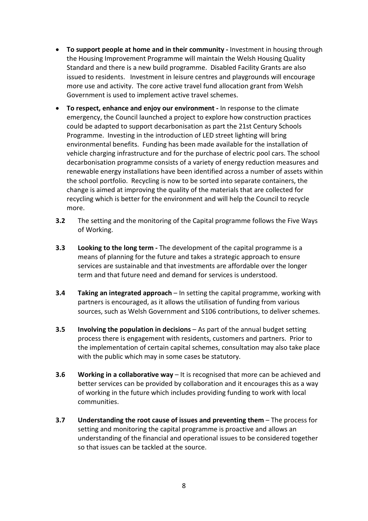- **To support people at home and in their community -** Investment in housing through the Housing Improvement Programme will maintain the Welsh Housing Quality Standard and there is a new build programme. Disabled Facility Grants are also issued to residents. Investment in leisure centres and playgrounds will encourage more use and activity. The core active travel fund allocation grant from Welsh Government is used to implement active travel schemes.
- **To respect, enhance and enjoy our environment -** In response to the climate emergency, the Council launched a project to explore how construction practices could be adapted to support decarbonisation as part the 21st Century Schools Programme. Investing in the introduction of LED street lighting will bring environmental benefits. Funding has been made available for the installation of vehicle charging infrastructure and for the purchase of electric pool cars. The school decarbonisation programme consists of a variety of energy reduction measures and renewable energy installations have been identified across a number of assets within the school portfolio. Recycling is now to be sorted into separate containers, the change is aimed at improving the quality of the materials that are collected for recycling which is better for the environment and will help the Council to recycle more.
- **3.2** The setting and the monitoring of the Capital programme follows the Five Ways of Working.
- **3.3 Looking to the long term -** The development of the capital programme is a means of planning for the future and takes a strategic approach to ensure services are sustainable and that investments are affordable over the longer term and that future need and demand for services is understood.
- **3.4 Taking an integrated approach** In setting the capital programme, working with partners is encouraged, as it allows the utilisation of funding from various sources, such as Welsh Government and S106 contributions, to deliver schemes.
- **3.5 Involving the population in decisions** As part of the annual budget setting process there is engagement with residents, customers and partners. Prior to the implementation of certain capital schemes, consultation may also take place with the public which may in some cases be statutory.
- **3.6 Working in a collaborative way** It is recognised that more can be achieved and better services can be provided by collaboration and it encourages this as a way of working in the future which includes providing funding to work with local communities.
- **3.7 Understanding the root cause of issues and preventing them** The process for setting and monitoring the capital programme is proactive and allows an understanding of the financial and operational issues to be considered together so that issues can be tackled at the source.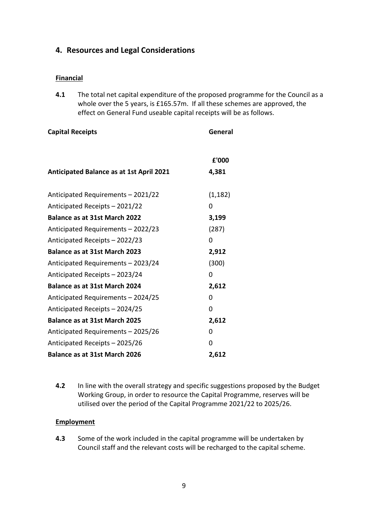# **4. Resources and Legal Considerations**

#### **Financial**

**4.1** The total net capital expenditure of the proposed programme for the Council as a whole over the 5 years, is £165.57m. If all these schemes are approved, the effect on General Fund useable capital receipts will be as follows.

| <b>Capital Receipts</b>                         | General        |
|-------------------------------------------------|----------------|
| <b>Anticipated Balance as at 1st April 2021</b> | £'000<br>4,381 |
| Anticipated Requirements - 2021/22              | (1, 182)       |
| Anticipated Receipts - 2021/22                  | 0              |
| <b>Balance as at 31st March 2022</b>            | 3,199          |
| Anticipated Requirements - 2022/23              | (287)          |
| Anticipated Receipts - 2022/23                  | 0              |
| Balance as at 31st March 2023                   | 2,912          |
| Anticipated Requirements - 2023/24              | (300)          |
| Anticipated Receipts - 2023/24                  | 0              |
| <b>Balance as at 31st March 2024</b>            | 2,612          |
| Anticipated Requirements - 2024/25              | 0              |
| Anticipated Receipts - 2024/25                  | 0              |
| <b>Balance as at 31st March 2025</b>            | 2,612          |
| Anticipated Requirements - 2025/26              | 0              |
| Anticipated Receipts - 2025/26                  | 0              |
| <b>Balance as at 31st March 2026</b>            | 2,612          |

**4.2** In line with the overall strategy and specific suggestions proposed by the Budget Working Group, in order to resource the Capital Programme, reserves will be utilised over the period of the Capital Programme 2021/22 to 2025/26.

#### **Employment**

**4.3** Some of the work included in the capital programme will be undertaken by Council staff and the relevant costs will be recharged to the capital scheme.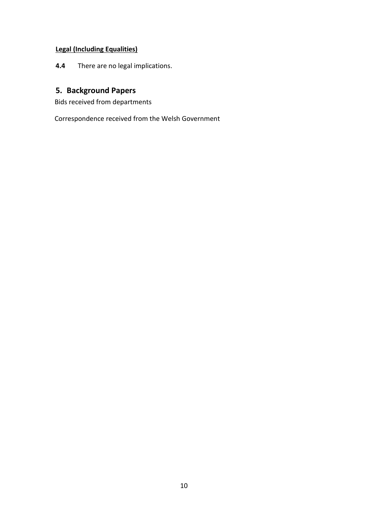# **Legal (Including Equalities)**

**4.4** There are no legal implications.

# **5. Background Papers**

Bids received from departments

Correspondence received from the Welsh Government